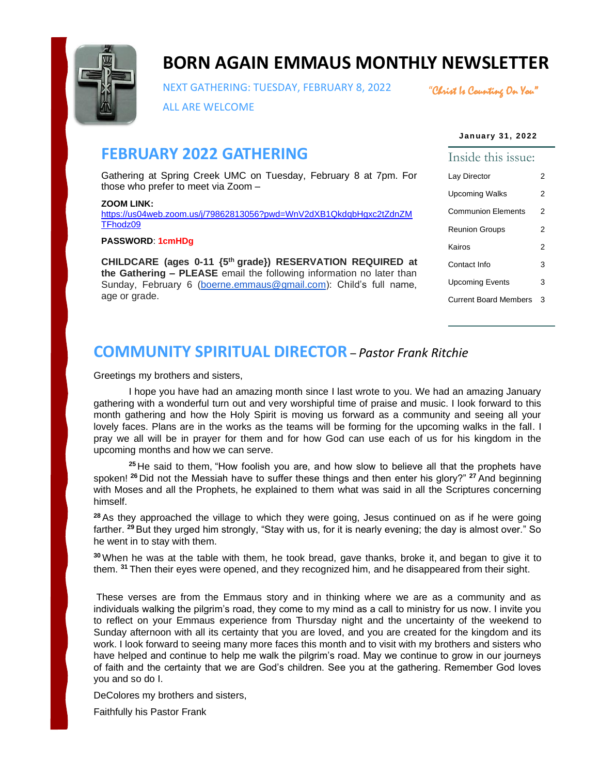

# **BORN AGAIN EMMAUS MONTHLY NEWSLETTER**

NEXT GATHERING: TUESDAY, FEBRUARY 8, 2022

"Christ Is Counting On You"

ALL ARE WELCOME

#### **January 31, 2022**

# **FEBRUARY 2022 GATHERING**

Gathering at Spring Creek UMC on Tuesday, February 8 at 7pm. For those who prefer to meet via Zoom –

#### **ZOOM LINK:**

[https://us04web.zoom.us/j/79862813056?pwd=WnV2dXB1QkdqbHgxc2tZdnZM](https://us04web.zoom.us/j/79862813056?pwd=WnV2dXB1QkdqbHgxc2tZdnZMTFhodz09) [TFhodz09](https://us04web.zoom.us/j/79862813056?pwd=WnV2dXB1QkdqbHgxc2tZdnZMTFhodz09)

#### **PASSWORD**: **1cmHDg**

**CHILDCARE (ages 0-11 {5th grade}) RESERVATION REQUIRED at the Gathering – PLEASE** email the following information no later than Sunday, February 6 [\(boerne.emmaus@gmail.com\)](mailto:boerne.emmaus@gmail.com): Child's full name, age or grade.

# Inside this issue: Lay Director 2 Upcoming Walks 2 Communion Elements 2 Reunion Groups 2 Kairos 2 Contact Info 3 Upcoming Events 3 Current Board Members 3

# **COMMUNITY SPIRITUAL DIRECTOR** – *Pastor Frank Ritchie*

Greetings my brothers and sisters,

I hope you have had an amazing month since I last wrote to you. We had an amazing January gathering with a wonderful turn out and very worshipful time of praise and music. I look forward to this month gathering and how the Holy Spirit is moving us forward as a community and seeing all your lovely faces. Plans are in the works as the teams will be forming for the upcoming walks in the fall. I pray we all will be in prayer for them and for how God can use each of us for his kingdom in the upcoming months and how we can serve.

**<sup>25</sup>** He said to them, "How foolish you are, and how slow to believe all that the prophets have spoken! **<sup>26</sup>** Did not the Messiah have to suffer these things and then enter his glory?" **<sup>27</sup>** And beginning with Moses and all the Prophets, he explained to them what was said in all the Scriptures concerning himself.

**<sup>28</sup>**As they approached the village to which they were going, Jesus continued on as if he were going farther. **<sup>29</sup>**But they urged him strongly, "Stay with us, for it is nearly evening; the day is almost over." So he went in to stay with them.

**<sup>30</sup>** When he was at the table with them, he took bread, gave thanks, broke it, and began to give it to them. **<sup>31</sup>** Then their eyes were opened, and they recognized him, and he disappeared from their sight.

These verses are from the Emmaus story and in thinking where we are as a community and as individuals walking the pilgrim's road, they come to my mind as a call to ministry for us now. I invite you to reflect on your Emmaus experience from Thursday night and the uncertainty of the weekend to Sunday afternoon with all its certainty that you are loved, and you are created for the kingdom and its work. I look forward to seeing many more faces this month and to visit with my brothers and sisters who have helped and continue to help me walk the pilgrim's road. May we continue to grow in our journeys of faith and the certainty that we are God's children. See you at the gathering. Remember God loves you and so do I.

DeColores my brothers and sisters,

Faithfully his Pastor Frank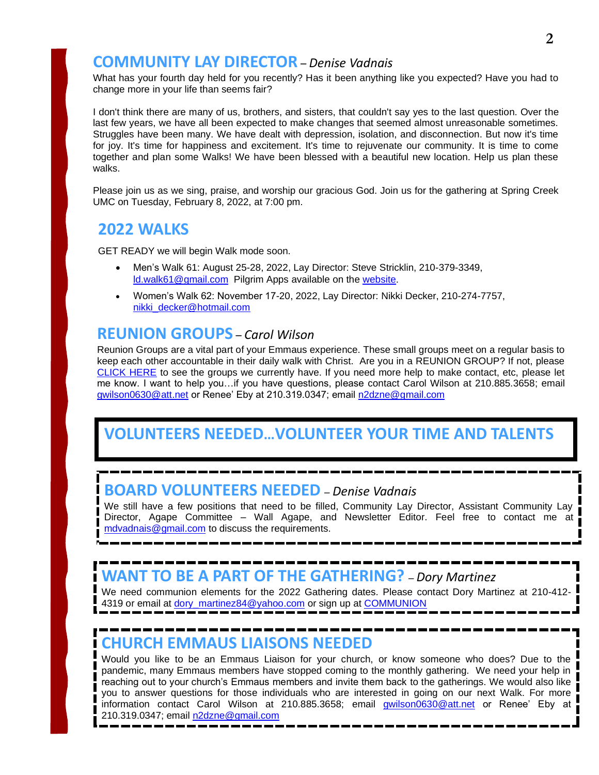## **COMMUNITY LAY DIRECTOR** – *Denise Vadnais*

What has your fourth day held for you recently? Has it been anything like you expected? Have you had to change more in your life than seems fair?

I don't think there are many of us, brothers, and sisters, that couldn't say yes to the last question. Over the last few years, we have all been expected to make changes that seemed almost unreasonable sometimes. Struggles have been many. We have dealt with depression, isolation, and disconnection. But now it's time for joy. It's time for happiness and excitement. It's time to rejuvenate our community. It is time to come together and plan some Walks! We have been blessed with a beautiful new location. Help us plan these walks.

Please join us as we sing, praise, and worship our gracious God. Join us for the gathering at Spring Creek UMC on Tuesday, February 8, 2022, at 7:00 pm.

# **2022 WALKS**

GET READY we will begin Walk mode soon.

- Men's Walk 61: August 25-28, 2022, Lay Director: Steve Stricklin, 210-379-3349, [ld.walk61@gmail.com](mailto:ld.walk61@gmail.com) Pilgrim Apps available on the [website.](https://www.bornagainemmaus.org/)
- Women's Walk 62: November 17-20, 2022, Lay Director: Nikki Decker, 210-274-7757, [nikki\\_decker@hotmail.com](mailto:nikki_decker@hotmail.com)

# **REUNION GROUPS** – *Carol Wilson*

Reunion Groups are a vital part of your Emmaus experience. These small groups meet on a regular basis to keep each other accountable in their daily walk with Christ. Are you in a REUNION GROUP? If not, please [CLICK HERE](https://www.bornagainemmaus.org/what-is-a-4th-day-reunion-group) to see the groups we currently have. If you need more help to make contact, etc, please let me know. I want to help you…if you have questions, please contact Carol Wilson at 210.885.3658; email [gwilson0630@att.net](mailto:gwilson0630@att.net) or Renee' Eby at 210.319.0347; email [n2dzne@gmail.com](mailto:n2dzne@gmail.com)

# **VOLUNTEERS NEEDED…VOLUNTEER YOUR TIME AND TALENTS**

# **BOARD VOLUNTEERS NEEDED** – *Denise Vadnais*

We still have a few positions that need to be filled, Community Lay Director, Assistant Community Lay Director, Agape Committee – Wall Agape, and Newsletter Editor. Feel free to contact me at [mdvadnais@gmail.com](mailto:mdvadnais@gmail.com) to discuss the requirements.

# **WANT TO BE A PART OF THE GATHERING?** – *Dory Martinez*

We need communion elements for the 2022 Gathering dates. Please contact Dory Martinez at 210-412 4319 or email at [dory\\_martinez84@yahoo.com](mailto:dory_martinez84@yahoo.com) or sign up at [COMMUNION](https://www.signupgenius.com/go/10c0549a5ac2fa6f85-2022)

# **CHURCH EMMAUS LIAISONS NEEDED**

Would you like to be an Emmaus Liaison for your church, or know someone who does? Due to the pandemic, many Emmaus members have stopped coming to the monthly gathering. We need your help in reaching out to your church's Emmaus members and invite them back to the gatherings. We would also like you to answer questions for those individuals who are interested in going on our next Walk. For more information contact Carol Wilson at 210.885.3658; email **[gwilson0630@att.net](mailto:gwilson0630@att.net)** or Renee' Eby at 210.319.0347; email [n2dzne@gmail.com](mailto:n2dzne@gmail.com)